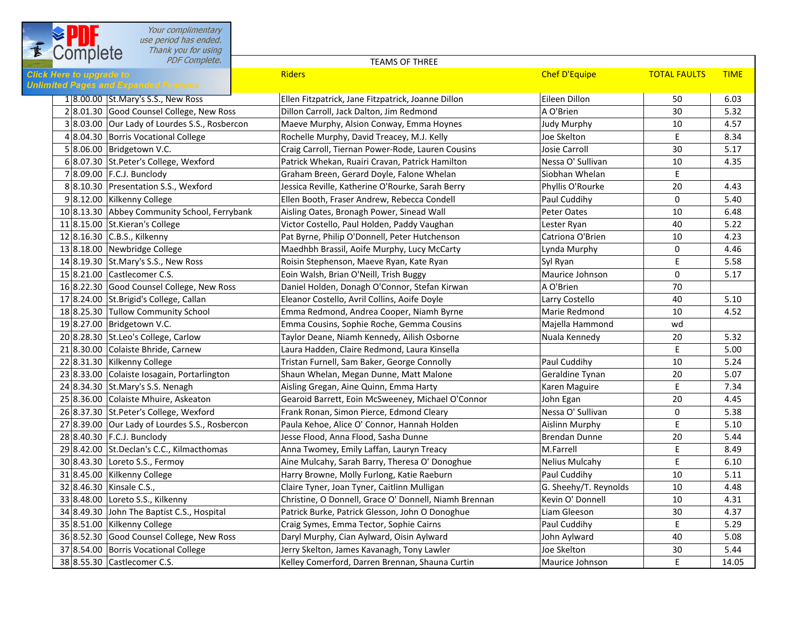| f | Your complimentary<br>use period has ended.<br>Thank you for using<br>Complete  |                                                       |                       |                     |             |
|---|---------------------------------------------------------------------------------|-------------------------------------------------------|-----------------------|---------------------|-------------|
|   | PDF Complete.                                                                   | <b>TEAMS OF THREE</b>                                 |                       |                     |             |
|   | <b>Click Here to upgrade to</b><br><b>Unlimited Pages and Expanded Features</b> | <b>Riders</b>                                         | <b>Chef D'Equipe</b>  | <b>TOTAL FAULTS</b> | <b>TIME</b> |
|   | 1 8.00.00 St. Mary's S.S., New Ross                                             | Ellen Fitzpatrick, Jane Fitzpatrick, Joanne Dillon    | Eileen Dillon         | 50                  | 6.03        |
|   | 28.01.30 Good Counsel College, New Ross                                         | Dillon Carroll, Jack Dalton, Jim Redmond              | A O'Brien             | 30                  | 5.32        |
|   | 38.03.00 Our Lady of Lourdes S.S., Rosbercon                                    | Maeve Murphy, Alsion Conway, Emma Hoynes              | <b>Judy Murphy</b>    | 10                  | 4.57        |
|   | 4 8.04.30 Borris Vocational College                                             | Rochelle Murphy, David Treacey, M.J. Kelly            | Joe Skelton           | $\sf E$             | 8.34        |
|   | 5 8.06.00 Bridgetown V.C.                                                       | Craig Carroll, Tiernan Power-Rode, Lauren Cousins     | Josie Carroll         | 30                  | 5.17        |
|   | 6 8.07.30 St.Peter's College, Wexford                                           | Patrick Whekan, Ruairi Cravan, Patrick Hamilton       | Nessa O' Sullivan     | 10                  | 4.35        |
|   | 7 8.09.00 F.C.J. Bunclody                                                       | Graham Breen, Gerard Doyle, Falone Whelan             | Siobhan Whelan        | E                   |             |
|   | 8 8.10.30 Presentation S.S., Wexford                                            | Jessica Reville, Katherine O'Rourke, Sarah Berry      | Phyllis O'Rourke      | 20                  | 4.43        |
|   | 98.12.00 Kilkenny College                                                       | Ellen Booth, Fraser Andrew, Rebecca Condell           | Paul Cuddihy          | 0                   | 5.40        |
|   | 10 8.13.30 Abbey Community School, Ferrybank                                    | Aisling Oates, Bronagh Power, Sinead Wall             | Peter Oates           | 10                  | 6.48        |
|   | 11 8.15.00 St. Kieran's College                                                 | Victor Costello, Paul Holden, Paddy Vaughan           | Lester Ryan           | 40                  | 5.22        |
|   | 12 8.16.30 C.B.S., Kilkenny                                                     | Pat Byrne, Philip O'Donnell, Peter Hutchenson         | Catriona O'Brien      | 10                  | 4.23        |
|   | 13 8.18.00 Newbridge College                                                    | Maedhbh Brassil, Aoife Murphy, Lucy McCarty           | Lynda Murphy          | 0                   | 4.46        |
|   | 14 8.19.30 St. Mary's S.S., New Ross                                            | Roisin Stephenson, Maeve Ryan, Kate Ryan              | Syl Ryan              | E                   | 5.58        |
|   | 15 8.21.00 Castlecomer C.S.                                                     | Eoin Walsh, Brian O'Neill, Trish Buggy                | Maurice Johnson       | $\mathbf 0$         | 5.17        |
|   | 16 8.22.30 Good Counsel College, New Ross                                       | Daniel Holden, Donagh O'Connor, Stefan Kirwan         | A O'Brien             | 70                  |             |
|   | 17 8.24.00 St.Brigid's College, Callan                                          | Eleanor Costello, Avril Collins, Aoife Doyle          | Larry Costello        | 40                  | 5.10        |
|   | 18 8.25.30 Tullow Community School                                              | Emma Redmond, Andrea Cooper, Niamh Byrne              | Marie Redmond         | 10                  | 4.52        |
|   | 19 8.27.00 Bridgetown V.C.                                                      | Emma Cousins, Sophie Roche, Gemma Cousins             | Majella Hammond       | wd                  |             |
|   | 20 8.28.30 St.Leo's College, Carlow                                             | Taylor Deane, Niamh Kennedy, Ailish Osborne           | Nuala Kennedy         | 20                  | 5.32        |
|   | 21 8.30.00 Colaiste Bhride, Carnew                                              | Laura Hadden, Claire Redmond, Laura Kinsella          |                       | E                   | 5.00        |
|   | 22 8.31.30 Kilkenny College                                                     | Tristan Furnell, Sam Baker, George Connolly           | Paul Cuddihy          | 10                  | 5.24        |
|   | 23 8.33.00 Colaiste Iosagain, Portarlington                                     | Shaun Whelan, Megan Dunne, Matt Malone                | Geraldine Tynan       | 20                  | 5.07        |
|   | 24 8.34.30 St.Mary's S.S. Nenagh                                                | Aisling Gregan, Aine Quinn, Emma Harty                | Karen Maguire         | E                   | 7.34        |
|   | 25 8.36.00 Colaiste Mhuire, Askeaton                                            | Gearoid Barrett, Eoin McSweeney, Michael O'Connor     | John Egan             | 20                  | 4.45        |
|   | 26 8.37.30 St.Peter's College, Wexford                                          | Frank Ronan, Simon Pierce, Edmond Cleary              | Nessa O' Sullivan     | 0                   | 5.38        |
|   | 27 8.39.00 Our Lady of Lourdes S.S., Rosbercon                                  | Paula Kehoe, Alice O' Connor, Hannah Holden           | Aislinn Murphy        | E                   | 5.10        |
|   | 28 8.40.30 F.C.J. Bunclody                                                      | Jesse Flood, Anna Flood, Sasha Dunne                  | Brendan Dunne         | 20                  | 5.44        |
|   | 29 8.42.00 St. Declan's C.C., Kilmacthomas                                      | Anna Twomey, Emily Laffan, Lauryn Treacy              | M.Farrell             | Ε                   | 8.49        |
|   | 30 8.43.30 Loreto S.S., Fermoy                                                  | Aine Mulcahy, Sarah Barry, Theresa O' Donoghue        | <b>Nelius Mulcahy</b> | Ε                   | 6.10        |
|   | 31 8.45.00 Kilkenny College                                                     | Harry Browne, Molly Furlong, Katie Raeburn            | Paul Cuddihy          | 10                  | 5.11        |
|   | 32 8.46.30 Kinsale C.S.,                                                        | Claire Tyner, Joan Tyner, Caitlinn Mulligan           | G. Sheehy/T. Reynolds | 10                  | 4.48        |
|   | 33 8.48.00 Loreto S.S., Kilkenny                                                | Christine, O Donnell, Grace O' Donnell, Niamh Brennan | Kevin O' Donnell      | 10                  | 4.31        |
|   | 34 8.49.30 John The Baptist C.S., Hospital                                      | Patrick Burke, Patrick Glesson, John O Donoghue       | Liam Gleeson          | 30                  | 4.37        |
|   | 35 8.51.00 Kilkenny College                                                     | Craig Symes, Emma Tector, Sophie Cairns               | Paul Cuddihy          | E                   | 5.29        |
|   | 36 8.52.30 Good Counsel College, New Ross                                       | Daryl Murphy, Cian Aylward, Oisin Aylward             | John Aylward          | 40                  | 5.08        |
|   | 37 8.54.00 Borris Vocational College                                            | Jerry Skelton, James Kavanagh, Tony Lawler            | Joe Skelton           | 30                  | 5.44        |
|   | 38 8.55.30 Castlecomer C.S.                                                     | Kelley Comerford, Darren Brennan, Shauna Curtin       | Maurice Johnson       | E.                  | 14.05       |